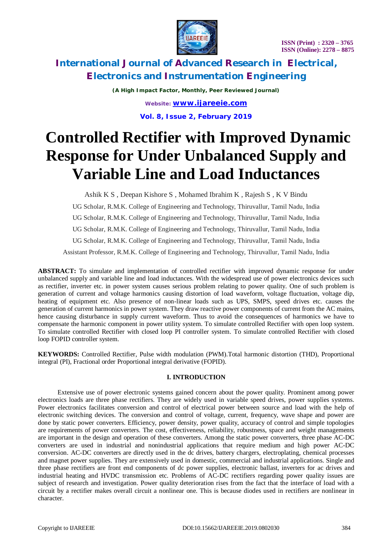

*(A High Impact Factor, Monthly, Peer Reviewed Journal) Website: [www.ijareeie.com](http://www.ijareeie.com)* **Vol. 8, Issue 2, February 2019**

# **Controlled Rectifier with Improved Dynamic Response for Under Unbalanced Supply and Variable Line and Load Inductances**

Ashik K S , Deepan Kishore S , Mohamed Ibrahim K , Rajesh S , K V Bindu

UG Scholar, R.M.K. College of Engineering and Technology, Thiruvallur, Tamil Nadu, India

UG Scholar, R.M.K. College of Engineering and Technology, Thiruvallur, Tamil Nadu, India

UG Scholar, R.M.K. College of Engineering and Technology, Thiruvallur, Tamil Nadu, India

UG Scholar, R.M.K. College of Engineering and Technology, Thiruvallur, Tamil Nadu, India

Assistant Professor, R.M.K. College of Engineering and Technology, Thiruvallur, Tamil Nadu, India

**ABSTRACT:** To simulate and implementation of controlled rectifier with improved dynamic response for under unbalanced supply and variable line and load inductances. With the widespread use of power electronics devices such as rectifier, inverter etc. in power system causes serious problem relating to power quality. One of such problem is generation of current and voltage harmonics causing distortion of load waveform, voltage fluctuation, voltage dip, heating of equipment etc. Also presence of non-linear loads such as UPS, SMPS, speed drives etc. causes the generation of current harmonics in power system. They draw reactive power components of current from the AC mains, hence causing disturbance in supply current waveform. Thus to avoid the consequences of harmonics we have to compensate the harmonic component in power utility system. To simulate controlled Rectifier with open loop system. To simulate controlled Rectifier with closed loop PI controller system. To simulate controlled Rectifier with closed loop FOPID controller system.

**KEYWORDS:** Controlled Rectifier, Pulse width modulation (PWM).Total harmonic distortion (THD), Proportional integral (PI), Fractional order Proportional integral derivative (FOPID).

#### **I. INTRODUCTION**

 Extensive use of power electronic systems gained concern about the power quality. Prominent among power electronics loads are three phase rectifiers. They are widely used in variable speed drives, power supplies systems. Power electronics facilitates conversion and control of electrical power between source and load with the help of electronic switching devices. The conversion and control of voltage, current, frequency, wave shape and power are done by static power converters. Efficiency, power density, power quality, accuracy of control and simple topologies are requirements of power converters. The cost, effectiveness, reliability, robustness, space and weight managements are important in the design and operation of these converters. Among the static power converters, three phase AC-DC converters are used in industrial and nonindustrial applications that require medium and high power AC-DC conversion. AC-DC converters are directly used in the dc drives, battery chargers, electroplating, chemical processes and magnet power supplies. They are extensively used in domestic, commercial and industrial applications. Single and three phase rectifiers are front end components of dc power supplies, electronic ballast, inverters for ac drives and industrial heating and HVDC transmission etc. Problems of AC-DC rectifiers regarding power quality issues are subject of research and investigation. Power quality deterioration rises from the fact that the interface of load with a circuit by a rectifier makes overall circuit a nonlinear one. This is because diodes used in rectifiers are nonlinear in character.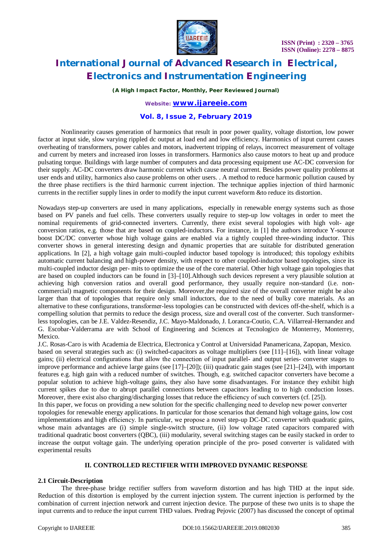

*(A High Impact Factor, Monthly, Peer Reviewed Journal)*

*Website: [www.ijareeie.com](http://www.ijareeie.com)*

#### **Vol. 8, Issue 2, February 2019**

 Nonlinearity causes generation of harmonics that result in poor power quality, voltage distortion, low power factor at input side, slow varying rippled dc output at load end and low efficiency. Harmonics of input current causes overheating of transformers, power cables and motors, inadvertent tripping of relays, incorrect measurement of voltage and current by meters and increased iron losses in transformers. Harmonics also cause motors to heat up and produce pulsating torque. Buildings with large number of computers and data processing equipment use AC-DC conversion for their supply. AC-DC converters draw harmonic current which cause neutral current. Besides power quality problems at user ends and utility, harmonics also cause problems on other users. . A method to reduce harmonic pollution caused by the three phase rectifiers is the third harmonic current injection. The technique applies injection of third harmonic currents in the rectifier supply lines in order to modify the input current waveform &to reduce its distortion.

Nowadays step-up converters are used in many applications, especially in renewable energy systems such as those based on PV panels and fuel cells. These converters usually require to step-up low voltages in order to meet the nominal requirements of grid-connected inverters. Currently, there exist several topologies with high volt- age conversion ratios, e.g. those that are based on coupled-inductors. For instance, in [1] the authors introduce Y-source boost DC/DC converter whose high voltage gains are enabled via a tightly coupled three-winding inductor. This converter shows in general interesting design and dynamic properties that are suitable for distributed generation applications. In [2], a high voltage gain multi-coupled inductor based topology is introduced; this topology exhibits automatic current balancing and high-power density, with respect to other coupled-inductor based topologies, since its multi-coupled inductor design per- mits to optimize the use of the core material. Other high voltage gain topologies that are based on coupled inductors can be found in [3]–[10].Although such devices represent a very plausible solution at achieving high conversion ratios and overall good performance, they usually require non-standard (i.e. noncommercial) magnetic components for their design. Moreover,the required size of the overall converter might be also larger than that of topologies that require only small inductors, due to the need of bulky core materials. As an alternative to these configurations, transformer-less topologies can be constructed with devices off-the-shelf, which is a compelling solution that permits to reduce the design process, size and overall cost of the converter. Such transformerless topologies, can be J.E. Valdez-Resendiz, J.C. Mayo-Maldonado, J. Loranca-Coutio, C.A. Villarreal-Hernandez and G. Escobar-Valderrama are with School of Engineering and Sciences at Tecnologico de Monterrey, Monterrey, Mexico.

J.C. Rosas-Caro is with Academia de Electrica, Electronica y Control at Universidad Panamericana, Zapopan, Mexico. based on several strategies such as: (i) switched-capacitors as voltage multipliers (see [11]–[16]), with linear voltage gains; (ii) electrical configurations that allow the connection of input parallel- and output series- converter stages to improve performance and achieve large gains (see [17]–[20]); (iii) quadratic gain stages (see [21]–[24]), with important features e.g. high gain with a reduced number of switches. Though, e.g. switched capacitor converters have become a popular solution to achieve high-voltage gains, they also have some disadvantages. For instance they exhibit high current spikes due to due to abrupt parallel connections between capacitors leading to to high conduction losses. Moreover, there exist also charging/discharging losses that reduce the efficiency of such converters (cf. [25]).

In this paper, we focus on providing a new solution for the specific challenging need to develop new power converter topologies for renewable energy applications. In particular for those scenarios that demand high voltage gains, low cost implementations and high efficiency. In particular, we propose a novel step-up DC-DC converter with quadratic gains, whose main advantages are (i) simple single-switch structure, (ii) low voltage rated capacitors compared with traditional quadratic boost converters (QBC), (iii) modularity, several switching stages can be easily stacked in order to increase the output voltage gain. The underlying operation principle of the pro- posed converter is validated with experimental results

### **II. CONTROLLED RECTIFIER WITH IMPROVED DYNAMIC RESPONSE**

#### **2.1 Circuit-Description**

The three-phase bridge rectifier suffers from waveform distortion and has high THD at the input side. Reduction of this distortion is employed by the current injection system. The current injection is performed by the combination of current injection network and current injection device. The purpose of these two units is to shape the input currents and to reduce the input current THD values. Predrag Pejovic (2007) has discussed the concept of optimal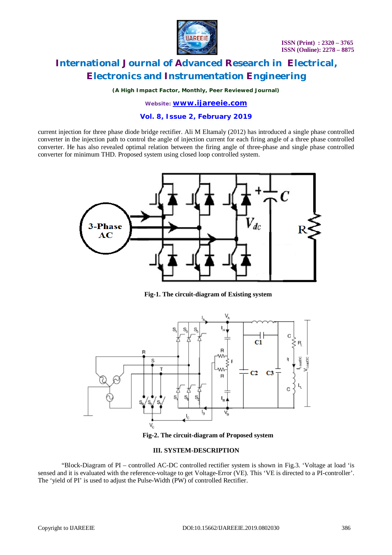

*(A High Impact Factor, Monthly, Peer Reviewed Journal)*

*Website: [www.ijareeie.com](http://www.ijareeie.com)*

#### **Vol. 8, Issue 2, February 2019**

current injection for three phase diode bridge rectifier. Ali M Eltamaly (2012) has introduced a single phase controlled converter in the injection path to control the angle of injection current for each firing angle of a three phase controlled converter. He has also revealed optimal relation between the firing angle of three-phase and single phase controlled converter for minimum THD. Proposed system using closed loop controlled system.



**Fig-1. The circuit-diagram of Existing system**



**Fig-2. The circuit-diagram of Proposed system**

#### **III. SYSTEM-DESCRIPTION**

"Block-Diagram of PI – controlled AC-DC controlled rectifier system is shown in Fig.3. 'Voltage at load 'is sensed and it is evaluated with the reference-voltage to get Voltage-Error (VE). This 'VE is directed to a PI-controller'. The 'yield of PI' is used to adjust the Pulse-Width (PW) of controlled Rectifier.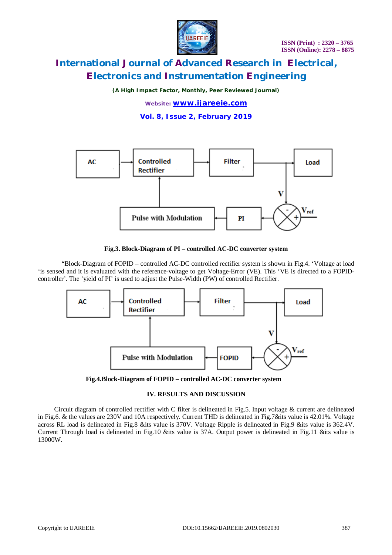

*(A High Impact Factor, Monthly, Peer Reviewed Journal)*

*Website: [www.ijareeie.com](http://www.ijareeie.com)*

**Vol. 8, Issue 2, February 2019**



#### **Fig.3. Block-Diagram of PI – controlled AC-DC converter system**

"Block-Diagram of FOPID – controlled AC-DC controlled rectifier system is shown in Fig.4. 'Voltage at load 'is sensed and it is evaluated with the reference-voltage to get Voltage-Error (VE). This 'VE is directed to a FOPIDcontroller'. The 'yield of PI' is used to adjust the Pulse-Width (PW) of controlled Rectifier.



**Fig.4.Block-Diagram of FOPID – controlled AC-DC converter system** 

### **IV. RESULTS AND DISCUSSION**

 Circuit diagram of controlled rectifier with C filter is delineated in Fig.5. Input voltage & current are delineated in Fig.6. & the values are 230V and 10A respectively. Current THD is delineated in Fig.7&its value is 42.01%. Voltage across RL load is delineated in Fig.8 &its value is 370V. Voltage Ripple is delineated in Fig.9 &its value is 362.4V. Current Through load is delineated in Fig.10 &its value is 37A. Output power is delineated in Fig.11 &its value is 13000W.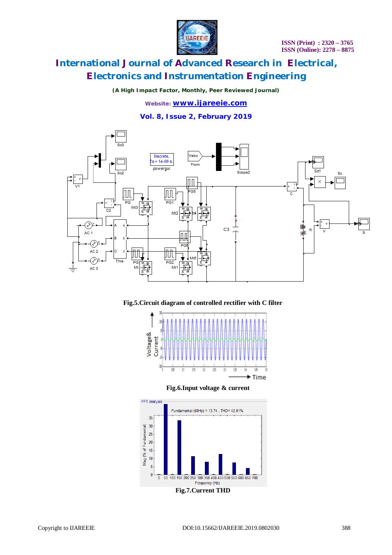

*(A High Impact Factor, Monthly, Peer Reviewed Journal)*

*Website: [www.ijareeie.com](http://www.ijareeie.com)* **Vol. 8, Issue 2, February 2019**



**Fig.5.Circuit diagram of controlled rectifier with C filter**





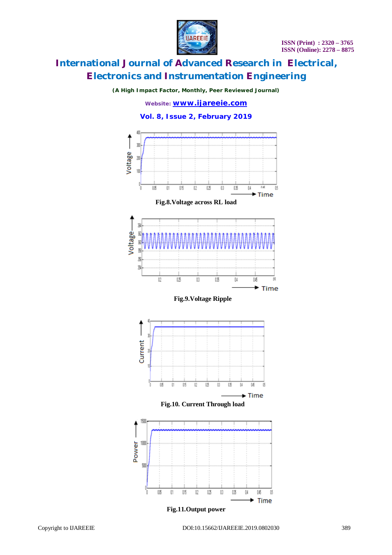

*(A High Impact Factor, Monthly, Peer Reviewed Journal)*

*Website: [www.ijareeie.com](http://www.ijareeie.com)*

### **Vol. 8, Issue 2, February 2019**

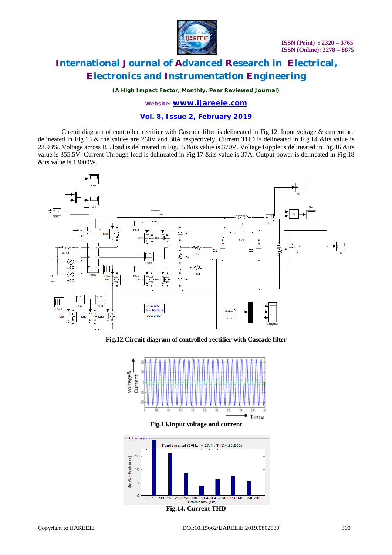

*(A High Impact Factor, Monthly, Peer Reviewed Journal)*

*Website: [www.ijareeie.com](http://www.ijareeie.com)*

#### **Vol. 8, Issue 2, February 2019**

Circuit diagram of controlled rectifier with Cascade filter is delineated in Fig.12. Input voltage & current are delineated in Fig.13 & the values are 260V and 30A respectively. Current THD is delineated in Fig.14 &its value is 23.93%. Voltage across RL load is delineated in Fig.15 &its value is 370V. Voltage Ripple is delineated in Fig.16 &its value is 355.5V. Current Through load is delineated in Fig.17 &its value is 37A. Output power is delineated in Fig.18 &its value is 13000W.



**Fig.12.Circuit diagram of controlled rectifier with Cascade filter**



**Fig.13.Input voltage and current**

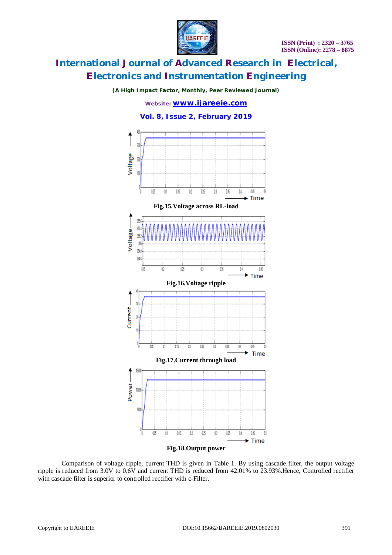

*(A High Impact Factor, Monthly, Peer Reviewed Journal)*

*Website: [www.ijareeie.com](http://www.ijareeie.com)*





Comparison of voltage ripple, current THD is given in Table 1. By using cascade filter, the output voltage ripple is reduced from 3.0V to 0.6V and current THD is reduced from 42.01% to 23.93%.Hence, Controlled rectifier with cascade filter is superior to controlled rectifier with c-Filter.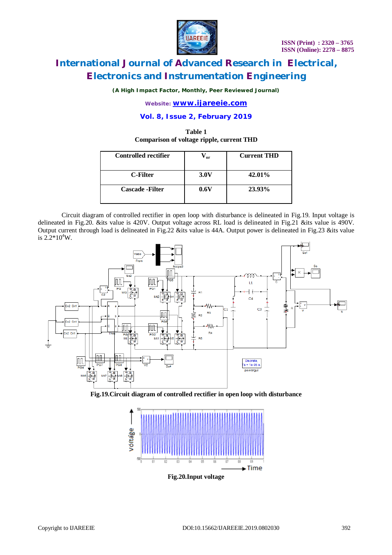

*(A High Impact Factor, Monthly, Peer Reviewed Journal)*

*Website: [www.ijareeie.com](http://www.ijareeie.com)*

#### **Vol. 8, Issue 2, February 2019**

### **Table 1 Comparison of voltage ripple, current THD**

| <b>Controlled rectifier</b> | $V_{\text{or}}$ | <b>Current THD</b> |
|-----------------------------|-----------------|--------------------|
| C-Filter                    | 3.0V            | 42.01%             |
| <b>Cascade</b> - Filter     | 0.6V            | 23.93%             |

Circuit diagram of controlled rectifier in open loop with disturbance is delineated in Fig.19. Input voltage is delineated in Fig.20. &its value is 420V. Output voltage across RL load is delineated in Fig.21 &its value is 490V. Output current through load is delineated in Fig.22 &its value is 44A. Output power is delineated in Fig.23 &its value is  $2.2*10^4$ W.



**Fig.19.Circuit diagram of controlled rectifier in open loop with disturbance**

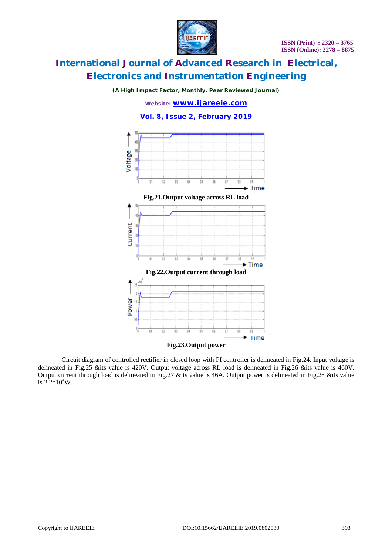

*(A High Impact Factor, Monthly, Peer Reviewed Journal)*

*Website: [www.ijareeie.com](http://www.ijareeie.com)*

#### **Vol. 8, Issue 2, February 2019**



Circuit diagram of controlled rectifier in closed loop with PI controller is delineated in Fig.24. Input voltage is delineated in Fig.25 &its value is 420V. Output voltage across RL load is delineated in Fig.26 &its value is 460V. Output current through load is delineated in Fig.27 &its value is 46A. Output power is delineated in Fig.28 &its value is  $2.2*10^4$ W.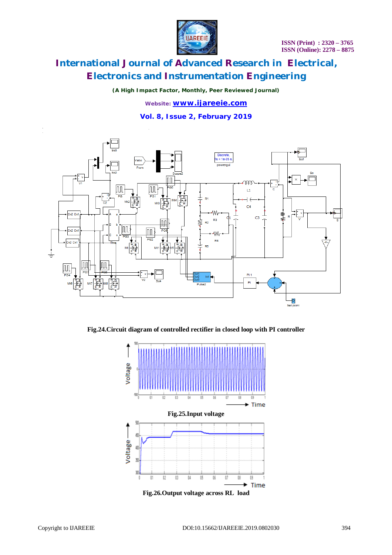

*(A High Impact Factor, Monthly, Peer Reviewed Journal)*

*Website: [www.ijareeie.com](http://www.ijareeie.com)* **Vol. 8, Issue 2, February 2019**



**Fig.24.Circuit diagram of controlled rectifier in closed loop with PI controller**

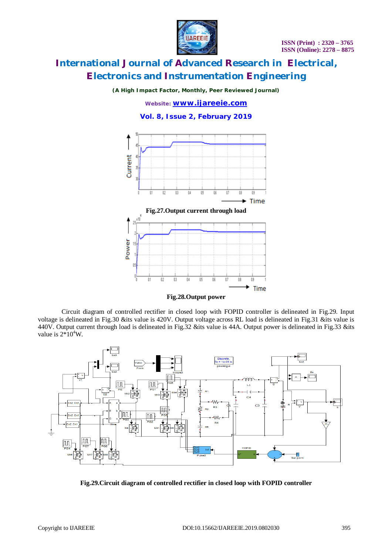

*(A High Impact Factor, Monthly, Peer Reviewed Journal)*

*Website: [www.ijareeie.com](http://www.ijareeie.com)* **Vol. 8, Issue 2, February 2019**





Circuit diagram of controlled rectifier in closed loop with FOPID controller is delineated in Fig.29. Input voltage is delineated in Fig.30 &its value is 420V. Output voltage across RL load is delineated in Fig.31 &its value is 440V. Output current through load is delineated in Fig.32 &its value is 44A. Output power is delineated in Fig.33 &its value is  $2*10^4$ W.



**Fig.29.Circuit diagram of controlled rectifier in closed loop with FOPID controller**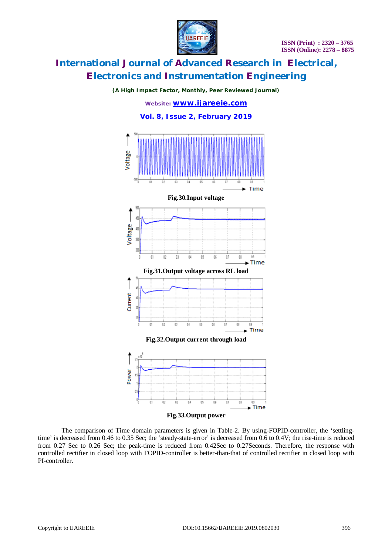

#### *(A High Impact Factor, Monthly, Peer Reviewed Journal)*

*Website: [www.ijareeie.com](http://www.ijareeie.com)*



The comparison of Time domain parameters is given in Table-2. By using-FOPID-controller, the 'settlingtime' is decreased from 0.46 to 0.35 Sec; the 'steady-state-error' is decreased from 0.6 to 0.4V; the rise-time is reduced from 0.27 Sec to 0.26 Sec; the peak-time is reduced from 0.42Sec to 0.27Seconds. Therefore, the response with controlled rectifier in closed loop with FOPID-controller is better-than-that of controlled rectifier in closed loop with PI-controller.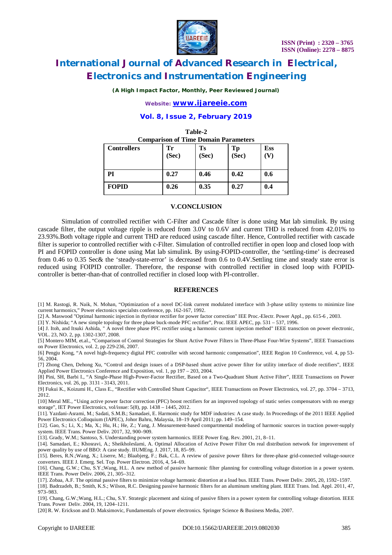

*(A High Impact Factor, Monthly, Peer Reviewed Journal)*

*Website: [www.ijareeie.com](http://www.ijareeie.com)*

### **Vol. 8, Issue 2, February 2019**

**Table-2**

| тате-2<br><b>Comparison of Time Domain Parameters</b> |             |             |             |            |  |  |
|-------------------------------------------------------|-------------|-------------|-------------|------------|--|--|
| <b>Controllers</b>                                    | Tr<br>(Sec) | Ts<br>(Sec) | Tp<br>(Sec) | <b>Ess</b> |  |  |
| PI                                                    | 0.27        | 0.46        | 0.42        | 0.6        |  |  |
| <b>FOPID</b>                                          | 0.26        | 0.35        | 0.27        | 0.4        |  |  |

### **V.CONCLUSION**

Simulation of controlled rectifier with C-Filter and Cascade filter is done using Mat lab simulink. By using cascade filter, the output voltage ripple is reduced from 3.0V to 0.6V and current THD is reduced from 42.01% to 23.93%.Both voltage ripple and current THD are reduced using cascade filter. Hence, Controlled rectifier with cascade filter is superior to controlled rectifier with c-Filter. Simulation of controlled rectifier in open loop and closed loop with PI and FOPID controller is done using Mat lab simulink. By using-FOPID-controller, the 'settling-time' is decreased from 0.46 to 0.35 Sec& the 'steady-state-error' is decreased from 0.6 to 0.4V.Settling time and steady state error is reduced using FOIPID controller. Therefore, the response with controlled rectifier in closed loop with FOPIDcontroller is better-than-that of controlled rectifier in closed loop with PI-controller.

#### **REFERENCES**

[1] M. Rastogi, R. Naik, N. Mohan, "Optimization of a novel DC-link current modulated interface with 3-phase utility systems to minimize line current harmonics," Power electonics specialsts conference, pp. 162-167, 1992.

[2] A. Maswood "Optimal harmonic injection in thyristor rectifier for power factor correction" IEE Proc.-Electr. Power Appl., pp. 615-6 , 2003.

[3] Y. Nishida; "A new simple topology for three phase buck-mode PFC rectifier", Proc. IEEE APEC, pp. 531 – 537, 1996.

[4] J. Itoh, and Itsuki Ashida, " A novel three phase PFC rectifier using a harmonic current injection method" IEEE transction on power electronic, VOL. 23, NO. 2, pp. 1302-1307, 2008.

[5] Montero MIM, et.al., "Comparison of Control Strategies for Shunt Active Power Filters in Three-Phase Four-Wire Systems", IEEE Transactions on Power Electronics, vol. 2, pp 229-236, 2007.

[6] Pengju Kong, "A novel high-frequency digital PFC controller with second harmonic compensation", IEEE Region 10 Conference, vol. 4, pp 53- 56, 2004.

[7] Zhong Chen, Dehong Xu, "Control and design issues of a DSP-based shunt active power filter for utility interface of diode rectifiers", IEEE Applied Power Electronics Conference and Exposition, vol. 1, pp 197 – 203, 2004.

[8] Pini, SH, Barbi I., "A Single-Phase High-Power-Factor Rectifier, Based on a Two-Quadrant Shunt Active Filter", IEEE Transactions on Power Electronics, vol. 26, pp. 3131 - 3143, 2011.

[9] Fukui K., Koizumi H., Class E., "Rectifier with Controlled Shunt Capacitor", IEEE Transactions on Power Electronics, vol. 27, pp. 3704 – 3713, 2012.

[10] Meral ME., "Using active power factor correction (PFC) boost rectifiers for an improved topology of static series compensators with no energy storage", IET Power Electronics, vol/issue: 5(8), pp. 1438 – 1445, 2012.

[11]. Yazdani-Asrami, M.; Sadati, S.M.B.; Samadaei, E. Harmonic study for MDF industries: A case study. In Proceedings of the 2011 IEEE Applied Power Electronics Colloquium (IAPEC), Johor Bahru, Malaysia, 18–19 April 2011; pp. 149–154.

[12]. Gao, S.; Li, X.; Ma, X.; Hu, H.; He, Z.; Yang, J. Measurement-based compartmental modeling of harmonic sources in traction power-supply system. IEEE Trans. Power Deliv. 2017, 32, 900–909.

[13]. Grady, W.M.; Santoso, S. Understanding power system harmonics. IEEE Power Eng. Rev. 2001, 21, 8–11.

[14]. Samadaei, E.; Khosravi, A.; Sheikholeslami, A. Optimal Allocation of Active Power Filter On real distribution network for improvement of power quality by use of BBO: A case study. IIUMEng. J. 2017, 18, 85–99.

[15]. Beres, R.N.;Wang, X.; Liserre, M.; Blaabjerg, F.; Bak, C.L. A review of passive power filters for three-phase grid-connected voltage-source converters. IEEE J. Emerg. Sel. Top. Power Electron. 2016, 4, 54–69.

[16]. Chang, G.W.; Chu, S.Y.;Wang, H.L. A new method of passive harmonic filter planning for controlling voltage distortion in a power system. IEEE Trans. Power Deliv. 2006, 21, 305–312.

[17]. Zobaa, A.F. The optimal passive filters to minimize voltage harmonic distortion at a load bus. IEEE Trans. Power Deliv. 2005, 20, 1592–1597.

[18]. Badrzadeh, B.; Smith, K.S.; Wilson, R.C. Designing passive harmonic filters for an aluminum smelting plant. IEEE Trans. Ind. Appl. 2011, 47, 973–983.

[19]. Chang, G.W.;Wang, H.L.; Chu, S.Y. Strategic placement and sizing of passive filters in a power system for controlling voltage distortion. IEEE Trans. Power Deliv. 2004, 19, 1204–1211.

[20] R. W. Erickson and D. Maksimovic, Fundamentals of power electronics. Springer Science & Business Media, 2007.